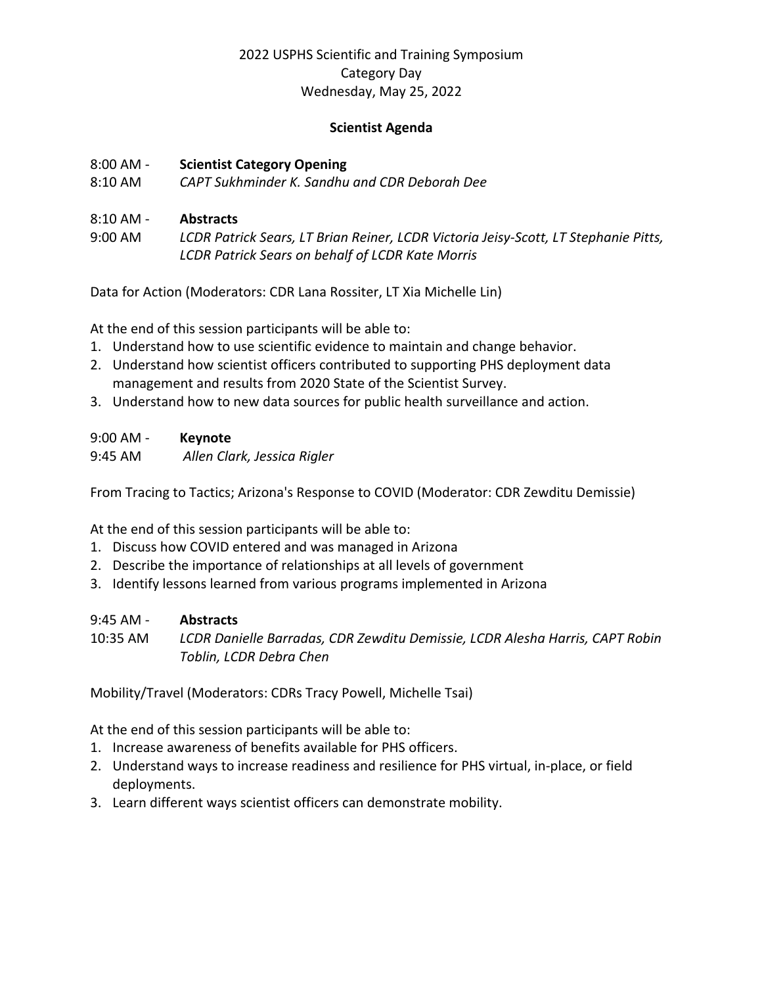# 2022 USPHS Scientific and Training Symposium Category Day Wednesday, May 25, 2022

## **Scientist Agenda**

#### 8:00 AM - **Scientist Category Opening**

8:10 AM *CAPT Sukhminder K. Sandhu and CDR Deborah Dee*

## 8:10 AM - **Abstracts**

9:00 AM *LCDR Patrick Sears, LT Brian Reiner, LCDR Victoria Jeisy-Scott, LT Stephanie Pitts, LCDR Patrick Sears on behalf of LCDR Kate Morris* 

Data for Action (Moderators: CDR Lana Rossiter, LT Xia Michelle Lin)

At the end of this session participants will be able to:

- 1. Understand how to use scientific evidence to maintain and change behavior.
- 2. Understand how scientist officers contributed to supporting PHS deployment data management and results from 2020 State of the Scientist Survey.
- 3. Understand how to new data sources for public health surveillance and action.

| $9:00$ AM - | <b>Keynote</b> |
|-------------|----------------|
|-------------|----------------|

9:45 AM *Allen Clark, Jessica Rigler* 

From Tracing to Tactics; Arizona's Response to COVID (Moderator: CDR Zewditu Demissie)

At the end of this session participants will be able to:

- 1. Discuss how COVID entered and was managed in Arizona
- 2. Describe the importance of relationships at all levels of government
- 3. Identify lessons learned from various programs implemented in Arizona

| $9:45$ AM - | <b>Abstracts</b>                                                             |
|-------------|------------------------------------------------------------------------------|
| 10:35 AM    | LCDR Danielle Barradas, CDR Zewditu Demissie, LCDR Alesha Harris, CAPT Robin |
|             | Toblin, LCDR Debra Chen                                                      |

Mobility/Travel (Moderators: CDRs Tracy Powell, Michelle Tsai)

At the end of this session participants will be able to:

- 1. Increase awareness of benefits available for PHS officers.
- 2. Understand ways to increase readiness and resilience for PHS virtual, in-place, or field deployments.
- 3. Learn different ways scientist officers can demonstrate mobility.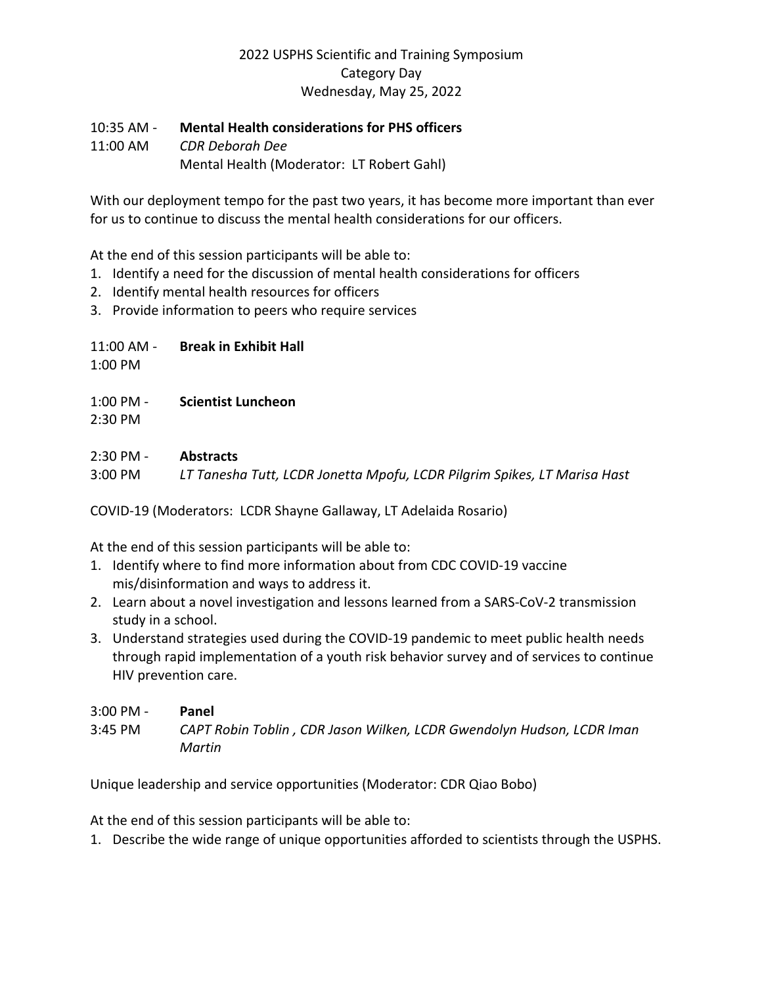## 2022 USPHS Scientific and Training Symposium Category Day Wednesday, May 25, 2022

## 10:35 AM - **Mental Health considerations for PHS officers**

11:00 AM *CDR Deborah Dee*  Mental Health (Moderator: LT Robert Gahl)

With our deployment tempo for the past two years, it has become more important than ever for us to continue to discuss the mental health considerations for our officers.

At the end of this session participants will be able to:

- 1. Identify a need for the discussion of mental health considerations for officers
- 2. Identify mental health resources for officers
- 3. Provide information to peers who require services

## 11:00 AM - **Break in Exhibit Hall**

1:00 PM

- 1:00 PM **Scientist Luncheon**
- 2:30 PM

#### 2:30 PM - **Abstracts**

3:00 PM *LT Tanesha Tutt, LCDR Jonetta Mpofu, LCDR Pilgrim Spikes, LT Marisa Hast* 

COVID-19 (Moderators: LCDR Shayne Gallaway, LT Adelaida Rosario)

At the end of this session participants will be able to:

- 1. Identify where to find more information about from CDC COVID-19 vaccine mis/disinformation and ways to address it.
- 2. Learn about a novel investigation and lessons learned from a SARS-CoV-2 transmission study in a school.
- 3. Understand strategies used during the COVID-19 pandemic to meet public health needs through rapid implementation of a youth risk behavior survey and of services to continue HIV prevention care.

3:00 PM - **Panel** 3:45 PM *CAPT Robin Toblin , CDR Jason Wilken, LCDR Gwendolyn Hudson, LCDR Iman Martin*

Unique leadership and service opportunities (Moderator: CDR Qiao Bobo)

At the end of this session participants will be able to:

1. Describe the wide range of unique opportunities afforded to scientists through the USPHS.